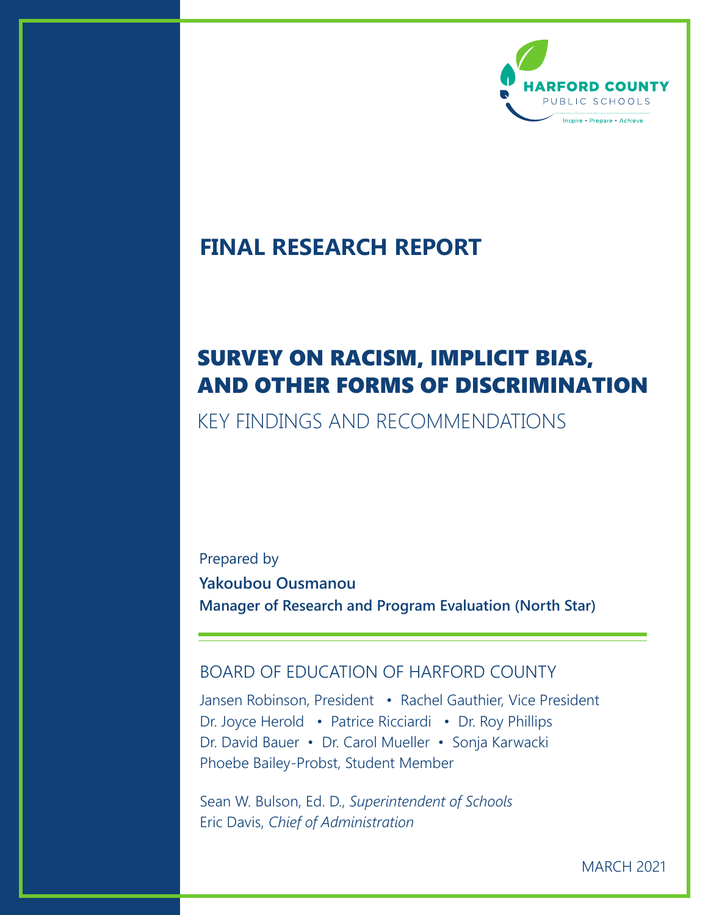

## **FINAL RESEARCH REPORT**

## SURVEY ON RACISM, IMPLICIT BIAS, AND OTHER FORMS OF DISCRIMINATION

KEY FINDINGS AND RECOMMENDATIONS

Prepared by **Yakoubou Ousmanou Manager of Research and Program Evaluation (North Star)**

#### BOARD OF EDUCATION OF HARFORD COUNTY

Jansen Robinson, President • Rachel Gauthier, Vice President Dr. Joyce Herold • Patrice Ricciardi • Dr. Roy Phillips Dr. David Bauer • Dr. Carol Mueller • Sonja Karwacki Phoebe Bailey-Probst, Student Member

Sean W. Bulson, Ed. D., *Superintendent of Schools* Eric Davis, *Chief of Administration*

MARCH 2021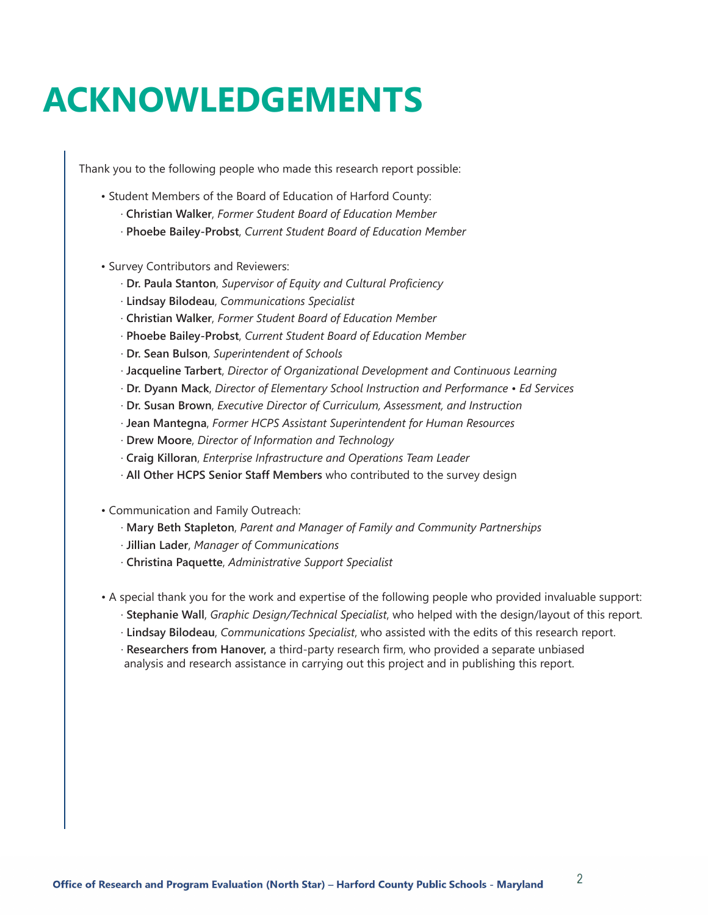# **ACKNOWLEDGEMENTS**

Thank you to the following people who made this research report possible:

- Student Members of the Board of Education of Harford County:
	- · **Christian Walker**, *Former Student Board of Education Member*
	- · **Phoebe Bailey-Probst**, *Current Student Board of Education Member*
- Survey Contributors and Reviewers:
	- · **Dr. Paula Stanton**, *Supervisor of Equity and Cultural Proficiency*
	- · **Lindsay Bilodeau**, *Communications Specialist*
	- · **Christian Walker**, *Former Student Board of Education Member*
	- · **Phoebe Bailey-Probst**, *Current Student Board of Education Member*
	- · **Dr. Sean Bulson**, *Superintendent of Schools*
	- · **Jacqueline Tarbert**, *Director of Organizational Development and Continuous Learning*
	- · **Dr. Dyann Mack**, *Director of Elementary School Instruction and Performance Ed Services*
	- · **Dr. Susan Brown**, *Executive Director of Curriculum, Assessment, and Instruction*
	- · **Jean Mantegna**, *Former HCPS Assistant Superintendent for Human Resources*
	- · **Drew Moore**, *Director of Information and Technology*
	- · **Craig Killoran**, *Enterprise Infrastructure and Operations Team Leader*
	- · **All Other HCPS Senior Staff Members** who contributed to the survey design
- Communication and Family Outreach:
	- · **Mary Beth Stapleton**, *Parent and Manager of Family and Community Partnerships*
	- · **Jillian Lader**, *Manager of Communications*
	- · **Christina Paquette**, *Administrative Support Specialist*
- A special thank you for the work and expertise of the following people who provided invaluable support:
	- · **Stephanie Wall**, *Graphic Design/Technical Specialist*, who helped with the design/layout of this report.
	- · **Lindsay Bilodeau**, *Communications Specialist*, who assisted with the edits of this research report.
	- · **Researchers from Hanover,** a third-party research firm, who provided a separate unbiased analysis and research assistance in carrying out this project and in publishing this report.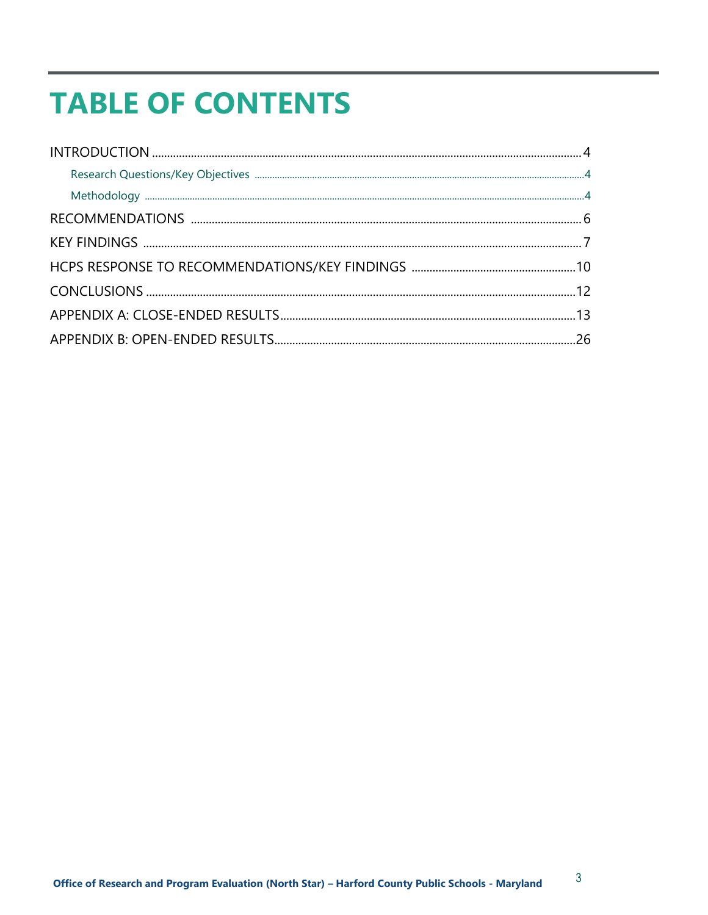## **TABLE OF CONTENTS**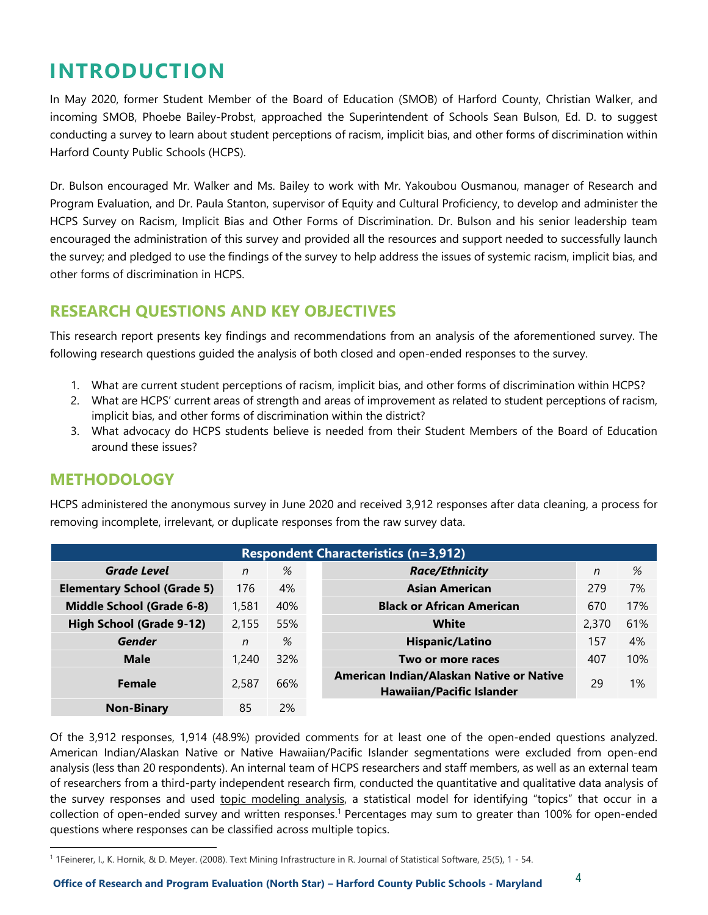## <span id="page-3-2"></span><span id="page-3-0"></span>**INTRODUCTION**

<span id="page-3-1"></span>In May 2020, former Student Member of the Board of Education (SMOB) of Harford County, Christian Walker, and incoming SMOB, Phoebe Bailey-Probst, approached the Superintendent of Schools Sean Bulson, Ed. D. to suggest conducting a survey to learn about student perceptions of racism, implicit bias, and other forms of discrimination within Harford County Public Schools (HCPS).

Dr. Bulson encouraged Mr. Walker and Ms. Bailey to work with Mr. Yakoubou Ousmanou, manager of Research and Program Evaluation, and Dr. Paula Stanton, supervisor of Equity and Cultural Proficiency, to develop and administer the HCPS Survey on Racism, Implicit Bias and Other Forms of Discrimination. Dr. Bulson and his senior leadership team encouraged the administration of this survey and provided all the resources and support needed to successfully launch the survey; and pledged to use the findings of the survey to help address the issues of systemic racism, implicit bias, and other forms of discrimination in HCPS.

#### **RESEARCH QUESTIONS AND KEY OBJECTIVES**

This research report presents key findings and recommendations from an analysis of the aforementioned survey. The following research questions guided the analysis of both closed and open-ended responses to the survey.

- 1. What are current student perceptions of racism, implicit bias, and other forms of discrimination within HCPS?
- 2. What are HCPS' current areas of strength and areas of improvement as related to student perceptions of racism, implicit bias, and other forms of discrimination within the district?
- 3. What advocacy do HCPS students believe is needed from their Student Members of the Board of Education around these issues?

#### **METHODOLOGY**

HCPS administered the anonymous survey in June 2020 and received 3,912 responses after data cleaning, a process for removing incomplete, irrelevant, or duplicate responses from the raw survey data.

| <b>Respondent Characteristics (n=3,912)</b> |       |       |  |                                                                              |       |     |
|---------------------------------------------|-------|-------|--|------------------------------------------------------------------------------|-------|-----|
| <b>Grade Level</b>                          | n     | %     |  | <b>Race/Ethnicity</b>                                                        | n     | %   |
| <b>Elementary School (Grade 5)</b>          | 176   | $4\%$ |  | <b>Asian American</b>                                                        | 279   | 7%  |
| <b>Middle School (Grade 6-8)</b>            | 1,581 | 40%   |  | <b>Black or African American</b>                                             | 670   | 17% |
| <b>High School (Grade 9-12)</b>             | 2,155 | 55%   |  | White                                                                        | 2,370 | 61% |
| <b>Gender</b>                               | n     | %     |  | <b>Hispanic/Latino</b>                                                       | 157   | 4%  |
| <b>Male</b>                                 | 1,240 | 32%   |  | Two or more races                                                            | 407   | 10% |
| <b>Female</b>                               | 2,587 | 66%   |  | American Indian/Alaskan Native or Native<br><b>Hawaiian/Pacific Islander</b> | 29    | 1%  |
| <b>Non-Binary</b>                           | 85    | 2%    |  |                                                                              |       |     |

Of the 3,912 responses, 1,914 (48.9%) provided comments for at least one of the open-ended questions analyzed. American Indian/Alaskan Native or Native Hawaiian/Pacific Islander segmentations were excluded from open-end analysis (less than 20 respondents). An internal team of HCPS researchers and staff members, as well as an external team of researchers from a third-party independent research firm, conducted the quantitative and qualitative data analysis of the survey responses and used topic modeling analysis, a statistical model for identifying "topics" that occur in a collection of open-ended survey and written responses. <sup>1</sup> Percentages may sum to greater than 100% for open-ended questions where responses can be classified across multiple topics.

<sup>1</sup> 1Feinerer, I., K. Hornik, & D. Meyer. (2008). Text Mining Infrastructure in R. Journal of Statistical Software, 25(5), 1 - 54.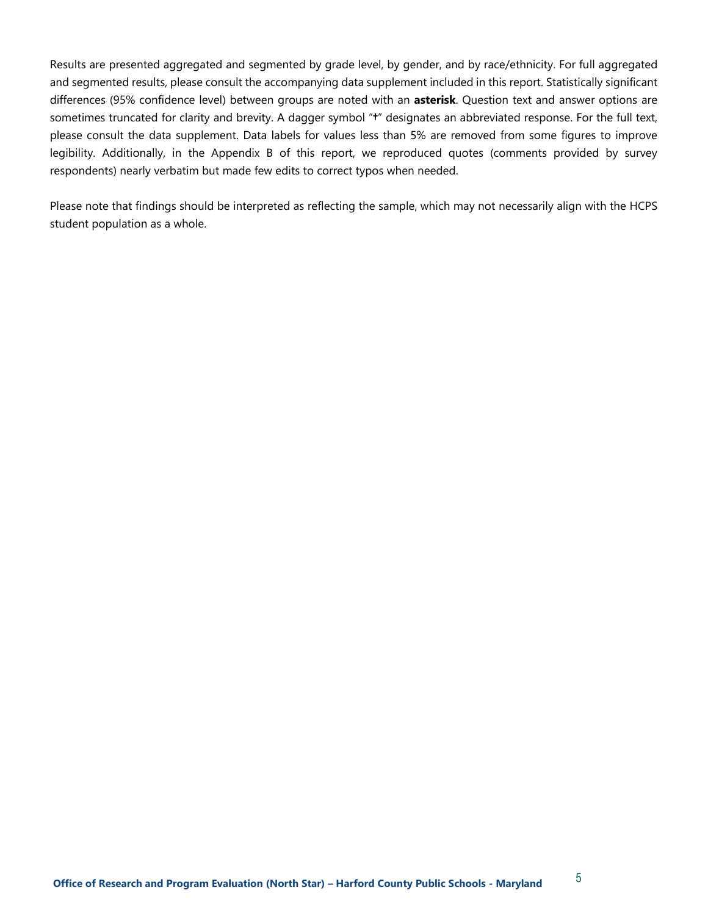Results are presented aggregated and segmented by grade level, by gender, and by race/ethnicity. For full aggregated and segmented results, please consult the accompanying data supplement included in this report. Statistically significant differences (95% confidence level) between groups are noted with an **asterisk**. Question text and answer options are sometimes truncated for clarity and brevity. A dagger symbol "**†**" designates an abbreviated response. For the full text, please consult the data supplement. Data labels for values less than 5% are removed from some figures to improve legibility. Additionally, in the Appendix B of this report, we reproduced quotes (comments provided by survey respondents) nearly verbatim but made few edits to correct typos when needed.

Please note that findings should be interpreted as reflecting the sample, which may not necessarily align with the HCPS student population as a whole.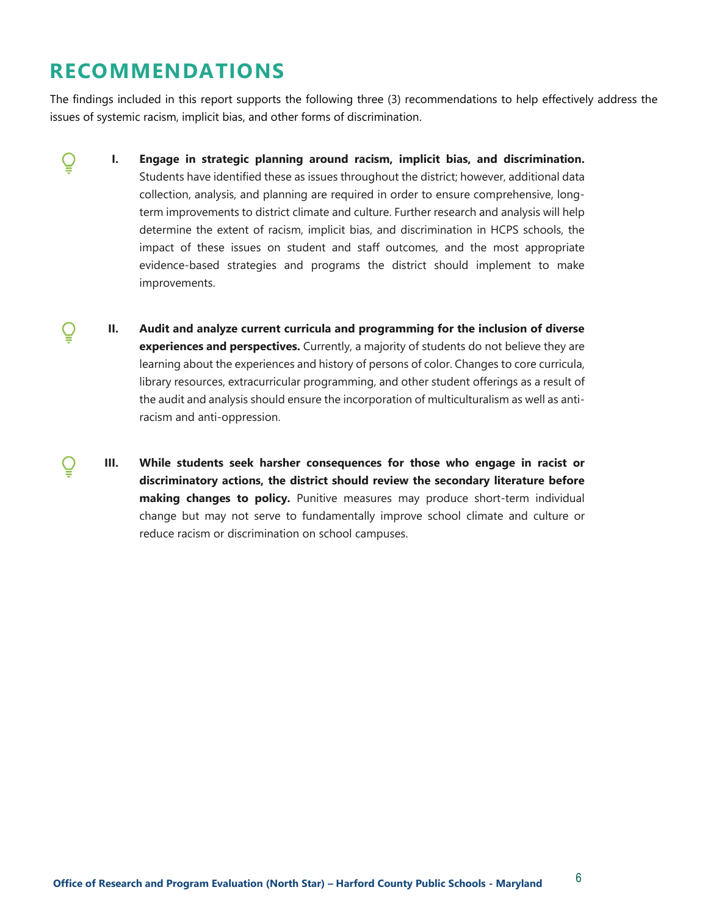## <span id="page-5-0"></span>**RECOMMENDATIONS**

 $\mathbf{Q}$ 

Ō

The findings included in this report supports the following three (3) recommendations to help effectively address the issues of systemic racism, implicit bias, and other forms of discrimination.

- **I. Engage in strategic planning around racism, implicit bias, and discrimination.**  Students have identified these as issues throughout the district; however, additional data collection, analysis, and planning are required in order to ensure comprehensive, longterm improvements to district climate and culture. Further research and analysis will help determine the extent of racism, implicit bias, and discrimination in HCPS schools, the impact of these issues on student and staff outcomes, and the most appropriate evidence-based strategies and programs the district should implement to make improvements.
	- **II. Audit and analyze current curricula and programming for the inclusion of diverse experiences and perspectives.** Currently, a majority of students do not believe they are learning about the experiences and history of persons of color. Changes to core curricula, library resources, extracurricular programming, and other student offerings as a result of the audit and analysis should ensure the incorporation of multiculturalism as well as antiracism and anti-oppression.
- **III. While students seek harsher consequences for those who engage in racist or discriminatory actions, the district should review the secondary literature before making changes to policy.** Punitive measures may produce short-term individual change but may not serve to fundamentally improve school climate and culture or reduce racism or discrimination on school campuses.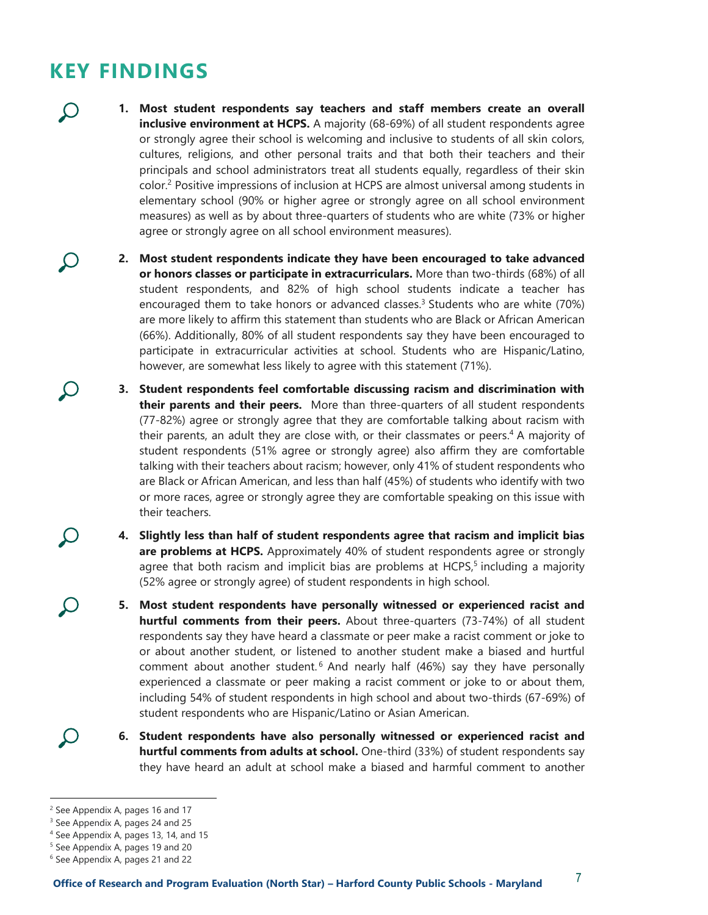## <span id="page-6-0"></span>**KEY FINDINGS**

 $\mathcal{Q}$ 

 $\mathcal{Q}$ 

 $\mathcal{Q}$ 

 $\Omega$ 

 $\mathcal{Q}$ 

- $\Omega$ **1. Most student respondents say teachers and staff members create an overall inclusive environment at HCPS.** A majority (68-69%) of all student respondents agree or strongly agree their school is welcoming and inclusive to students of all skin colors, cultures, religions, and other personal traits and that both their teachers and their principals and school administrators treat all students equally, regardless of their skin color. <sup>2</sup> Positive impressions of inclusion at HCPS are almost universal among students in elementary school (90% or higher agree or strongly agree on all school environment measures) as well as by about three-quarters of students who are white (73% or higher agree or strongly agree on all school environment measures).
	- **2. Most student respondents indicate they have been encouraged to take advanced or honors classes or participate in extracurriculars.** More than two-thirds (68%) of all student respondents, and 82% of high school students indicate a teacher has encouraged them to take honors or advanced classes.<sup>3</sup> Students who are white (70%) are more likely to affirm this statement than students who are Black or African American (66%). Additionally, 80% of all student respondents say they have been encouraged to participate in extracurricular activities at school. Students who are Hispanic/Latino, however, are somewhat less likely to agree with this statement (71%).
		- **3. Student respondents feel comfortable discussing racism and discrimination with their parents and their peers.** More than three-quarters of all student respondents (77-82%) agree or strongly agree that they are comfortable talking about racism with their parents, an adult they are close with, or their classmates or peers. <sup>4</sup> A majority of student respondents (51% agree or strongly agree) also affirm they are comfortable talking with their teachers about racism; however, only 41% of student respondents who are Black or African American, and less than half (45%) of students who identify with two or more races, agree or strongly agree they are comfortable speaking on this issue with their teachers.
		- **4. Slightly less than half of student respondents agree that racism and implicit bias are problems at HCPS.** Approximately 40% of student respondents agree or strongly agree that both racism and implicit bias are problems at HCPS,<sup>5</sup> including a majority (52% agree or strongly agree) of student respondents in high school.
		- **5. Most student respondents have personally witnessed or experienced racist and hurtful comments from their peers.** About three-quarters (73-74%) of all student respondents say they have heard a classmate or peer make a racist comment or joke to or about another student, or listened to another student make a biased and hurtful comment about another student. <sup>6</sup> And nearly half (46%) say they have personally experienced a classmate or peer making a racist comment or joke to or about them, including 54% of student respondents in high school and about two-thirds (67-69%) of student respondents who are Hispanic/Latino or Asian American.
		- **6. Student respondents have also personally witnessed or experienced racist and hurtful comments from adults at school.** One-third (33%) of student respondents say they have heard an adult at school make a biased and harmful comment to another

<sup>2</sup> [See](#page-15-1) [Appendix A, pages 16](#page-15-0) and 17

<sup>&</sup>lt;sup>3</sup> [See Appendix A, pages 24](#page-23-0) and 25

<sup>4</sup> [See Appendix A, pages 13, 14, and 15](#page-12-1)

<sup>5</sup> [See Appendix A, pages 19](#page-18-0) and 20

<sup>6</sup> [See Appendix A, pages 21](#page-20-0) and 22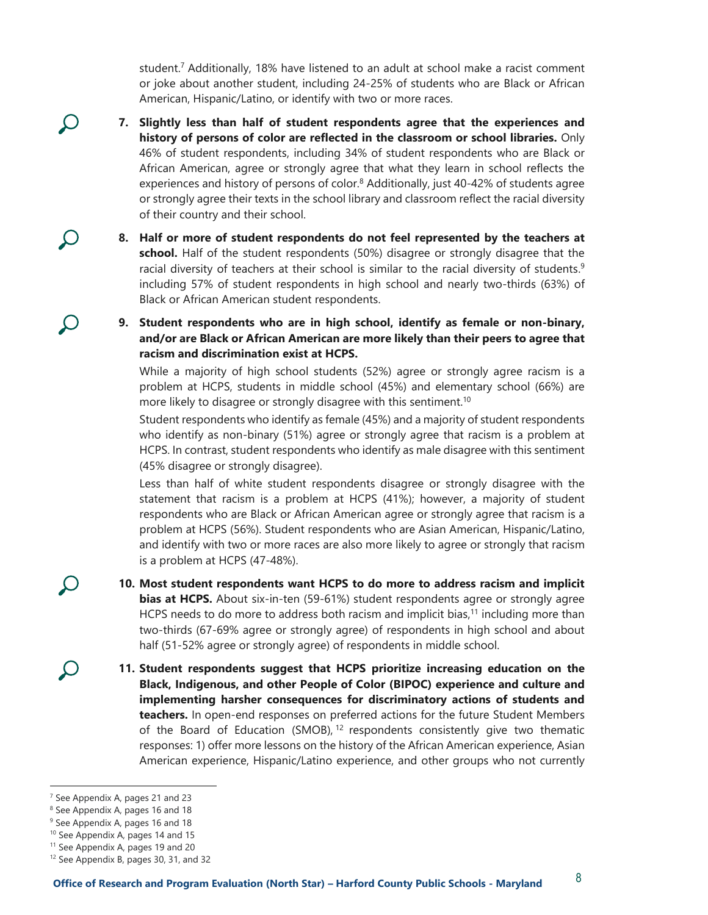student.<sup>7</sup> Additionally, 18% have listened to an adult at school make a racist comment or joke about another student, including 24-25% of students who are Black or African American, Hispanic/Latino, or identify with two or more races.

- **7. Slightly less than half of student respondents agree that the experiences and history of persons of color are reflected in the classroom or school libraries.** Only 46% of student respondents, including 34% of student respondents who are Black or African American, agree or strongly agree that what they learn in school reflects the experiences and history of persons of color.<sup>8</sup> Additionally, just 40-42% of students agree or strongly agree their texts in the school library and classroom reflect the racial diversity of their country and their school.
- **8. Half or more of student respondents do not feel represented by the teachers at school.** Half of the student respondents (50%) disagree or strongly disagree that the racial diversity of teachers at their school is similar to the racial diversity of students.<sup>9</sup> including 57% of student respondents in high school and nearly two-thirds (63%) of Black or African American student respondents.
- **9. Student respondents who are in high school, identify as female or non-binary, and/or are Black or African American are more likely than their peers to agree that racism and discrimination exist at HCPS.**

While a majority of high school students (52%) agree or strongly agree racism is a problem at HCPS, students in middle school (45%) and elementary school (66%) are more likely to disagree or strongly disagree with this sentiment.<sup>10</sup>

Student respondents who identify as female (45%) and a majority of student respondents who identify as non-binary (51%) agree or strongly agree that racism is a problem at HCPS. In contrast, student respondents who identify as male disagree with this sentiment (45% disagree or strongly disagree).

Less than half of white student respondents disagree or strongly disagree with the statement that racism is a problem at HCPS (41%); however, a majority of student respondents who are Black or African American agree or strongly agree that racism is a problem at HCPS (56%). Student respondents who are Asian American, Hispanic/Latino, and identify with two or more races are also more likely to agree or strongly that racism is a problem at HCPS (47-48%).

- **10. Most student respondents want HCPS to do more to address racism and implicit bias at HCPS.** About six-in-ten (59-61%) student respondents agree or strongly agree HCPS needs to do more to address both racism and implicit bias,<sup>11</sup> including more than two-thirds (67-69% agree or strongly agree) of respondents in high school and about half (51-52% agree or strongly agree) of respondents in middle school.
- **11. Student respondents suggest that HCPS prioritize increasing education on the Black, Indigenous, and other People of Color (BIPOC) experience and culture and implementing harsher consequences for discriminatory actions of students and teachers.** In open-end responses on preferred actions for the future Student Members of the Board of Education (SMOB),  $12$  respondents consistently give two thematic responses: 1) offer more lessons on the history of the African American experience, Asian American experience, Hispanic/Latino experience, and other groups who not currently

 $\Omega$ 

 $\mathcal{Q}$ 

 $\Omega$ 

 $\mathcal{Q}$ 

 $\Omega$ 

<sup>7</sup> [See Appendix A, pages 21](#page-20-0) and 23

<sup>8</sup> See Appendix A, pages 16 and 18

<sup>&</sup>lt;sup>9</sup> [See Appendix A, pages 16](#page-15-1) and 18

<sup>&</sup>lt;sup>10</sup> [See Appendix A, pages 14 and 15](#page-13-0)

<sup>&</sup>lt;sup>11</sup> [See Appendix](#page-18-0) A, pages 19 and 20

<sup>12</sup> [See Appendix B, pages 30, 31, and 32](#page-29-0)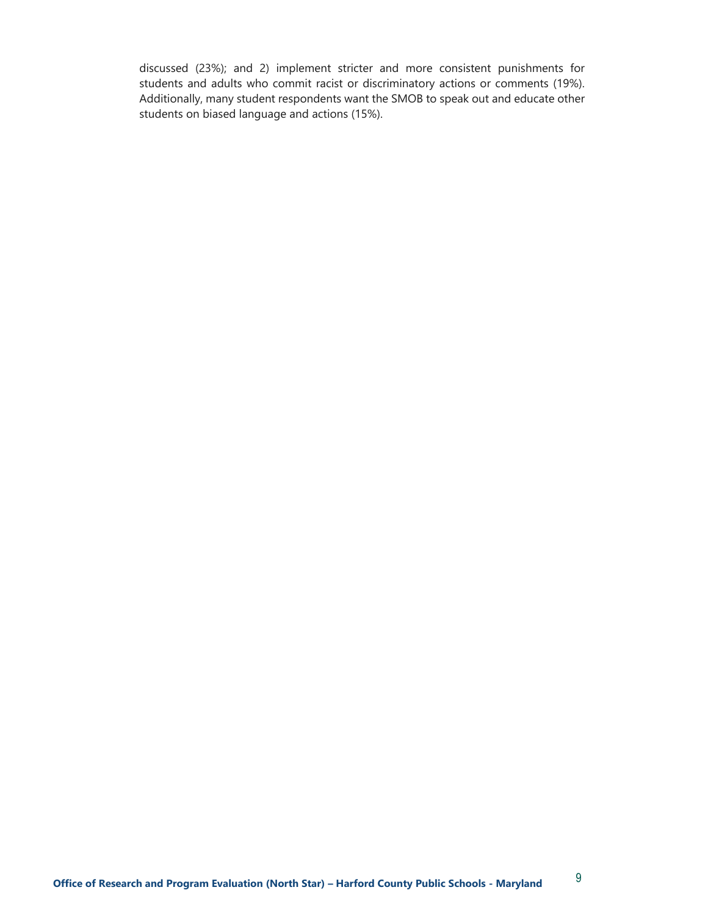discussed (23%); and 2) implement stricter and more consistent punishments for students and adults who commit racist or discriminatory actions or comments (19%). Additionally, many student respondents want the SMOB to speak out and educate other students on biased language and actions (15%).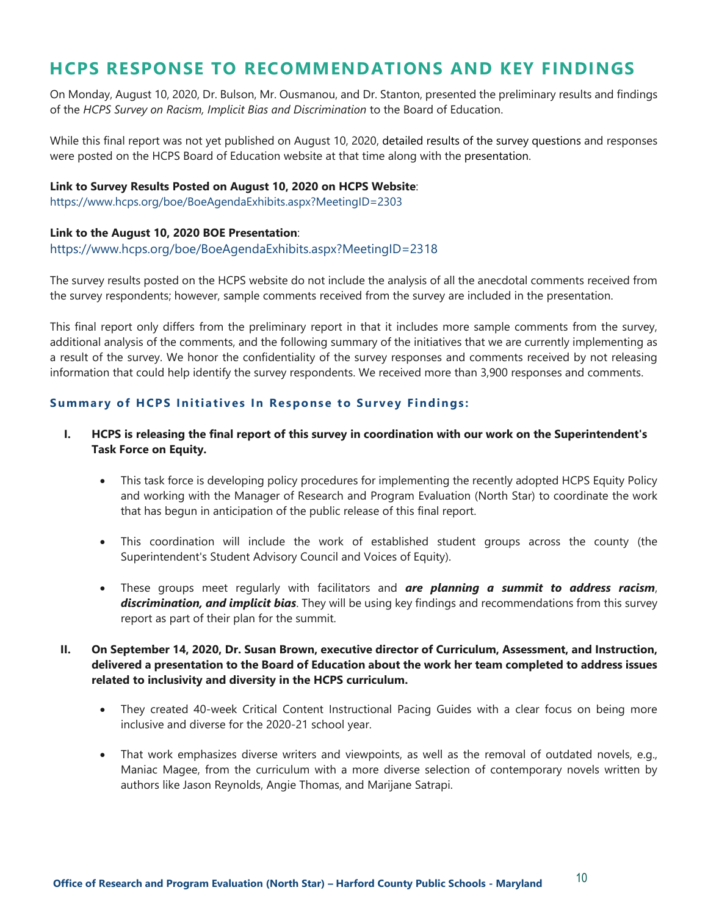#### <span id="page-9-0"></span>**HCPS RESPONSE TO RECOMMENDATIONS AND KEY FINDINGS**

On Monday, August 10, 2020, Dr. Bulson, Mr. Ousmanou, and Dr. Stanton, presented the preliminary results and findings of the *HCPS Survey on Racism, Implicit Bias and Discrimination* to the Board of Education.

While this final report was not yet published on August 10, 2020, [detailed results of the survey questions](https://www.hcps.org/boe/BoeAgendaExhibits.aspx?MeetingID=2303) and responses were posted on the HCPS Board of Education website at that time along with the [presentation.](https://www.hcps.org/boe/BoeAgendaExhibits.aspx?MeetingID=2318) 

#### **Link to Survey Results Posted on August 10, 2020 on HCPS Website**:

<https://www.hcps.org/boe/BoeAgendaExhibits.aspx?MeetingID=2303>

#### **Link to the August 10, 2020 BOE Presentation**:

<https://www.hcps.org/boe/BoeAgendaExhibits.aspx?MeetingID=2318>

The survey results posted on the HCPS website do not include the analysis of all the anecdotal comments received from the survey respondents; however, sample comments received from the survey are included in the presentation.

This final report only differs from the preliminary report in that it includes more sample comments from the survey, additional analysis of the comments, and the following summary of the initiatives that we are currently implementing as a result of the survey. We honor the confidentiality of the survey responses and comments received by not releasing information that could help identify the survey respondents. We received more than 3,900 responses and comments.

#### **Summary of HCPS Initiatives In Response to Survey F indings:**

- **I. HCPS is releasing the final report of this survey in coordination with our work on the Superintendent's Task Force on Equity.**
	- This task force is developing policy procedures for implementing the recently adopted HCPS Equity Policy and working with the Manager of Research and Program Evaluation (North Star) to coordinate the work that has begun in anticipation of the public release of this final report.
	- This coordination will include the work of established student groups across the county (the Superintendent's Student Advisory Council and Voices of Equity).
	- These groups meet regularly with facilitators and *are planning a summit to address racism*, *discrimination, and implicit bias*. They will be using key findings and recommendations from this survey report as part of their plan for the summit.

#### **II. On September 14, 2020, Dr. Susan Brown, executive director of Curriculum, Assessment, and Instruction, delivered a presentation to the Board of Education about the work her team completed to address issues related to inclusivity and diversity in the HCPS curriculum.**

- They created 40-week Critical Content Instructional Pacing Guides with a clear focus on being more inclusive and diverse for the 2020-21 school year.
- That work emphasizes diverse writers and viewpoints, as well as the removal of outdated novels, e.g., Maniac Magee, from the curriculum with a more diverse selection of contemporary novels written by authors like Jason Reynolds, Angie Thomas, and Marijane Satrapi.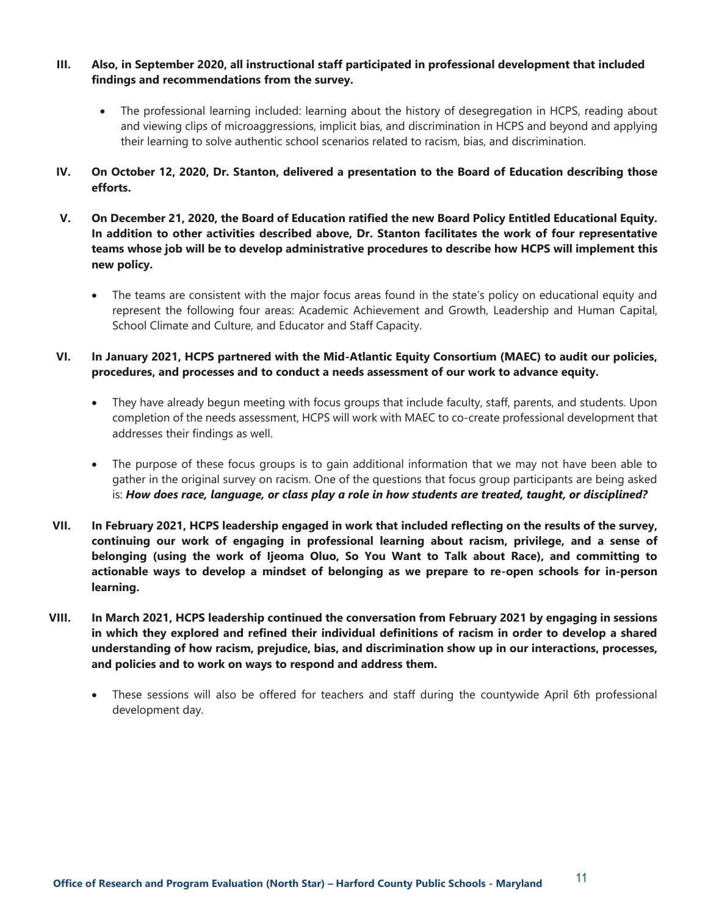- **III. Also, in September 2020, all instructional staff participated in professional development that included findings and recommendations from the survey.**
	- The professional learning included: learning about the history of desegregation in HCPS, reading about and viewing clips of microaggressions, implicit bias, and discrimination in HCPS and beyond and applying their learning to solve authentic school scenarios related to racism, bias, and discrimination.
- **IV. On October 12, 2020, Dr. Stanton, delivered a presentation to the Board of Education describing those efforts.**
- **V. On December 21, 2020, the Board of Education ratified the new Board Policy Entitled Educational Equity. In addition to other activities described above, Dr. Stanton facilitates the work of four representative teams whose job will be to develop administrative procedures to describe how HCPS will implement this new policy.** 
	- The teams are consistent with the major focus areas found in the state's policy on educational equity and represent the following four areas: Academic Achievement and Growth, Leadership and Human Capital, School Climate and Culture, and Educator and Staff Capacity.
- **VI. In January 2021, HCPS partnered with the Mid-Atlantic Equity Consortium (MAEC) to audit our policies, procedures, and processes and to conduct a needs assessment of our work to advance equity.** 
	- They have already begun meeting with focus groups that include faculty, staff, parents, and students. Upon completion of the needs assessment, HCPS will work with MAEC to co-create professional development that addresses their findings as well.
	- The purpose of these focus groups is to gain additional information that we may not have been able to gather in the original survey on racism. One of the questions that focus group participants are being asked is: *How does race, language, or class play a role in how students are treated, taught, or disciplined?*
- **VII. In February 2021, HCPS leadership engaged in work that included reflecting on the results of the survey, continuing our work of engaging in professional learning about racism, privilege, and a sense of belonging (using the work of Ijeoma Oluo, So You Want to Talk about Race), and committing to actionable ways to develop a mindset of belonging as we prepare to re-open schools for in-person learning.**
- **VIII. In March 2021, HCPS leadership continued the conversation from February 2021 by engaging in sessions in which they explored and refined their individual definitions of racism in order to develop a shared understanding of how racism, prejudice, bias, and discrimination show up in our interactions, processes, and policies and to work on ways to respond and address them.** 
	- These sessions will also be offered for teachers and staff during the countywide April 6th professional development day.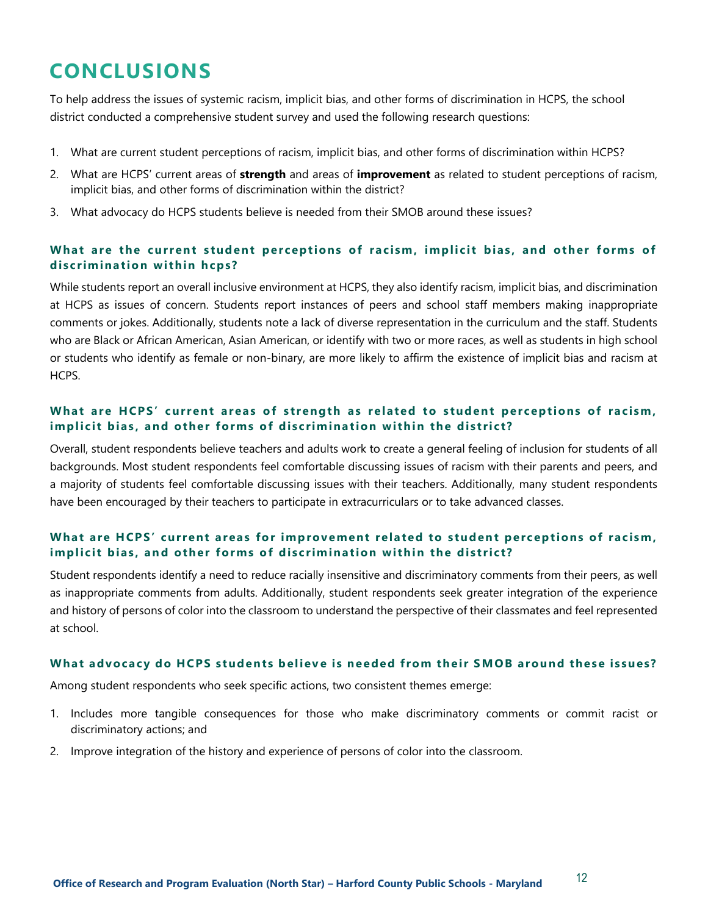## <span id="page-11-0"></span>**CONCLUSIONS**

To help address the issues of systemic racism, implicit bias, and other forms of discrimination in HCPS, the school district conducted a comprehensive student survey and used the following research questions:

- 1. What are current student perceptions of racism, implicit bias, and other forms of discrimination within HCPS?
- 2. What are HCPS' current areas of **strength** and areas of **improvement** as related to student perceptions of racism, implicit bias, and other forms of discrimination within the district?
- 3. What advocacy do HCPS students believe is needed from their SMOB around these issues?

#### **What are the current student perceptions of racism, implicit bias, and other forms of discrimination within hcps?**

While students report an overall inclusive environment at HCPS, they also identify racism, implicit bias, and discrimination at HCPS as issues of concern. Students report instances of peers and school staff members making inappropriate comments or jokes. Additionally, students note a lack of diverse representation in the curriculum and the staff. Students who are Black or African American, Asian American, or identify with two or more races, as well as students in high school or students who identify as female or non-binary, are more likely to affirm the existence of implicit bias and racism at HCPS.

#### **What are HCPS' current areas of strength as related to student perceptions of racism, implicit bias , and other forms of discrimination within the district?**

Overall, student respondents believe teachers and adults work to create a general feeling of inclusion for students of all backgrounds. Most student respondents feel comfortable discussing issues of racism with their parents and peers, and a majority of students feel comfortable discussing issues with their teachers. Additionally, many student respondents have been encouraged by their teachers to participate in extracurriculars or to take advanced classes.

#### **What are HCPS' current areas for improvement related to student perceptions of racism, implicit bias, and other forms of discrimination within the district?**

Student respondents identify a need to reduce racially insensitive and discriminatory comments from their peers, as well as inappropriate comments from adults. Additionally, student respondents seek greater integration of the experience and history of persons of color into the classroom to understand the perspective of their classmates and feel represented at school.

#### **What advocacy do HCPS students believ e is needed from their SMOB around these issues?**

Among student respondents who seek specific actions, two consistent themes emerge:

- 1. Includes more tangible consequences for those who make discriminatory comments or commit racist or discriminatory actions; and
- 2. Improve integration of the history and experience of persons of color into the classroom.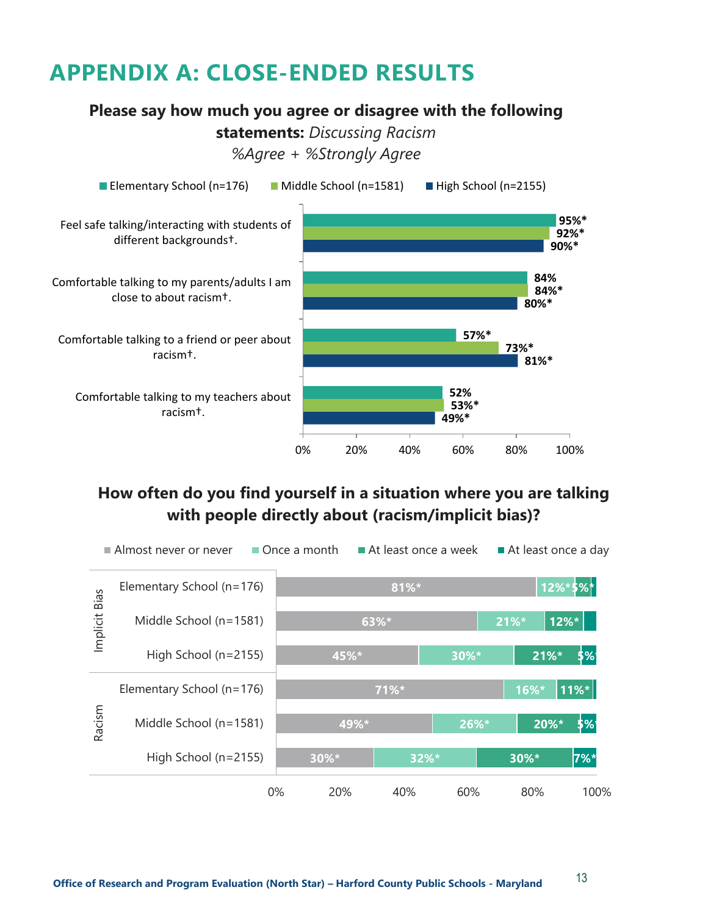## <span id="page-12-1"></span><span id="page-12-0"></span>**APPENDIX A: CLOSE-ENDED RESULTS**

#### **Please say how much you agree or disagree with the following**

**statements:** *Discussing Racism*

*%Agree + %Strongly Agree*



#### **How often do you find yourself in a situation where you are talking with people directly about (racism/implicit bias)?**

|          | $\blacksquare$ Almost never or never | Once a month |          | At least once a week |         | At least once a day |  |
|----------|--------------------------------------|--------------|----------|----------------------|---------|---------------------|--|
| Bias     | Elementary School (n=176)            |              | $81\%$ * |                      |         | 12%*\$%*            |  |
| Implicit | Middle School (n=1581)               |              | 63%*     | 21%                  | $12%$ * |                     |  |
|          | High School (n=2155)                 | 45%*         |          | 30%*                 | 21%     | 5%                  |  |
|          | Elementary School (n=176)            |              | $71\%$ * |                      | 16%*    | $ 11\%^* $          |  |
| Racism   | Middle School (n=1581)               |              | 49%*     | 26%*                 | 20%*    | 5%                  |  |
|          | High School (n=2155)                 | 30%*         |          | 32%*                 | 30%*    | 7%*                 |  |
|          |                                      | 0%<br>20%    | 40%      | 60%                  | 80%     | 100%                |  |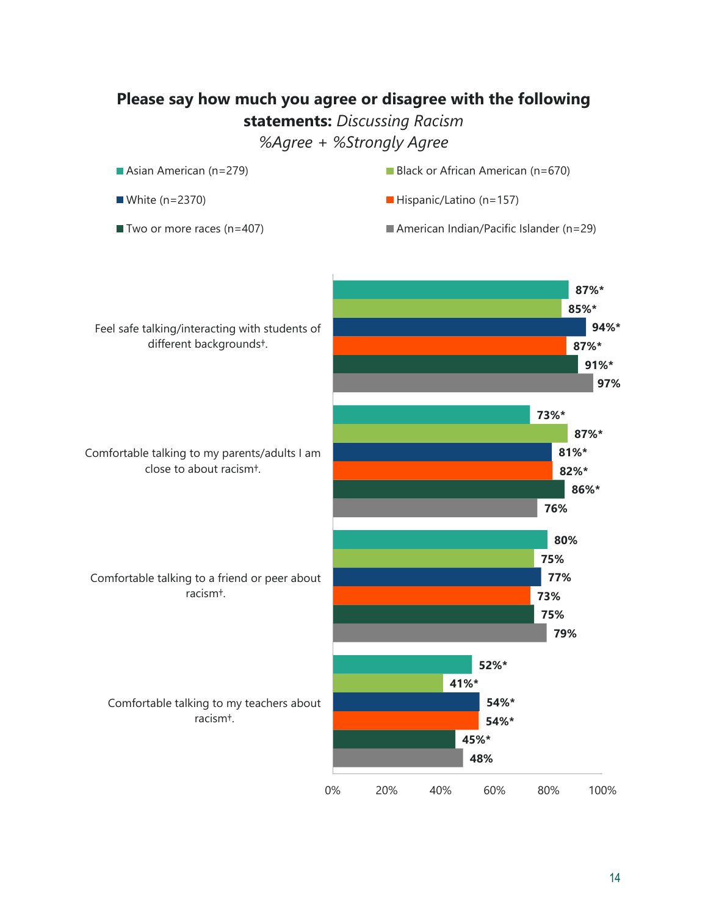<span id="page-13-0"></span>

#### 14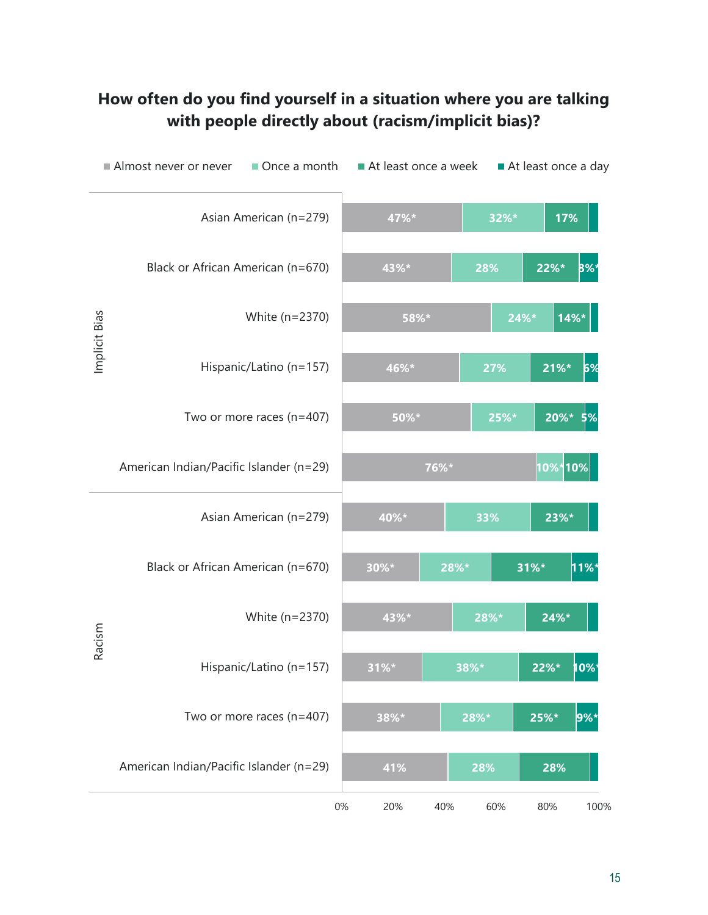## **How often do you find yourself in a situation where you are talking with people directly about (racism/implicit bias)?**

|               | Almost never or never                   | Once a month                  | At least once a week |      |             | At least once a day |                  |
|---------------|-----------------------------------------|-------------------------------|----------------------|------|-------------|---------------------|------------------|
|               |                                         | Asian American (n=279)        | 47%*                 |      | 32%*        | 17%                 |                  |
|               | Black or African American (n=670)       |                               | 43%*                 |      | 28%         | 22%*                | <b>B%*</b>       |
|               |                                         | White (n=2370)                | 58%*                 |      | $24%$ *     |                     | $14%$ *          |
| Implicit Bias |                                         | Hispanic/Latino (n=157)       | 46%*                 |      | 27%         | 21%                 | 6%               |
|               | Two or more races (n=407)               | 50%*                          |                      | 25%* | $20\%*$ \$% |                     |                  |
|               | American Indian/Pacific Islander (n=29) |                               |                      | 76%* |             | 10%*10%             |                  |
|               |                                         | Asian American (n=279)        | 40%*                 |      | 33%         | 23%*                |                  |
|               | Black or African American (n=670)       |                               | 30%*                 | 28%* |             | 31%*                | ່∣11%*           |
| Racism        | White (n=2370)                          | 43%*                          |                      | 28%* | 24%*        |                     |                  |
|               |                                         | Hispanic/Latino (n=157)       | $31\%$ *             | 38%* |             | 22%*                | 10% <sup>*</sup> |
|               |                                         | Two or more races ( $n=407$ ) | 38%*                 | 28%* |             | 25%*                | 9%*              |
|               | American Indian/Pacific Islander (n=29) |                               | 41%                  |      | 28%         | 28%                 |                  |
|               |                                         | $0\%$                         | 20%                  | 40%  | 60%         | 80%                 | 100%             |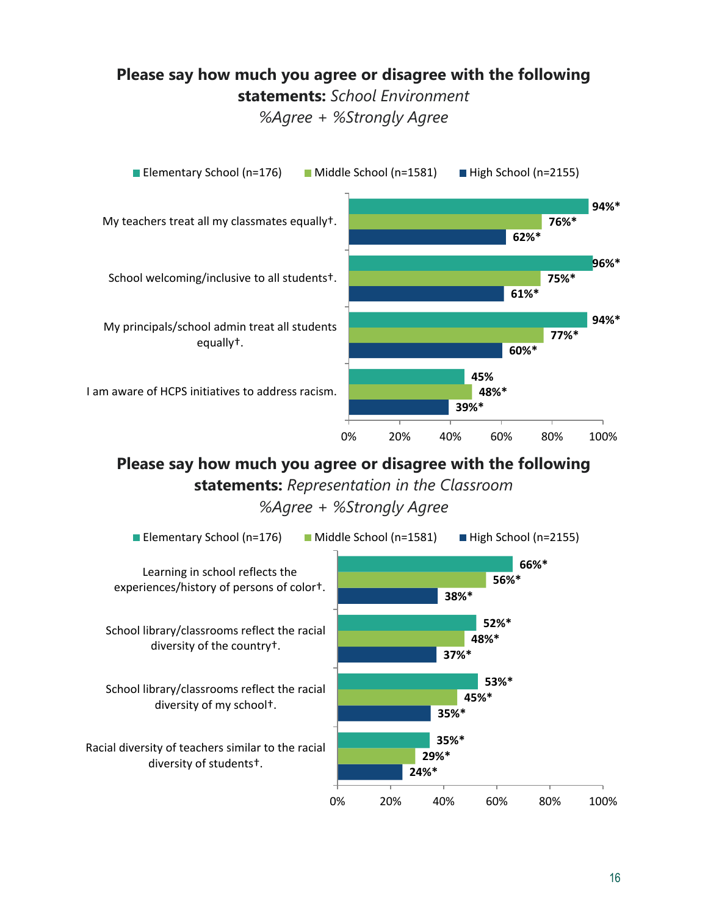#### <span id="page-15-1"></span><span id="page-15-0"></span>**Please say how much you agree or disagree with the following statements:** *School Environment %Agree + %Strongly Agree*



#### **Please say how much you agree or disagree with the following statements:** *Representation in the Classroom %Agree + %Strongly Agree*

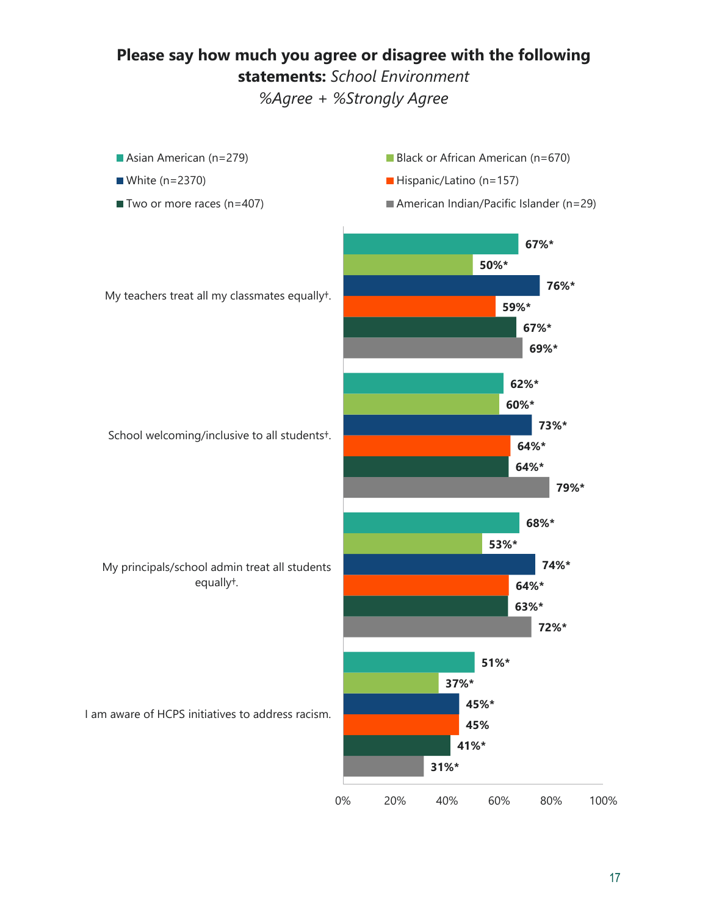### **Please say how much you agree or disagree with the following statements:** *School Environment %Agree + %Strongly Agree*

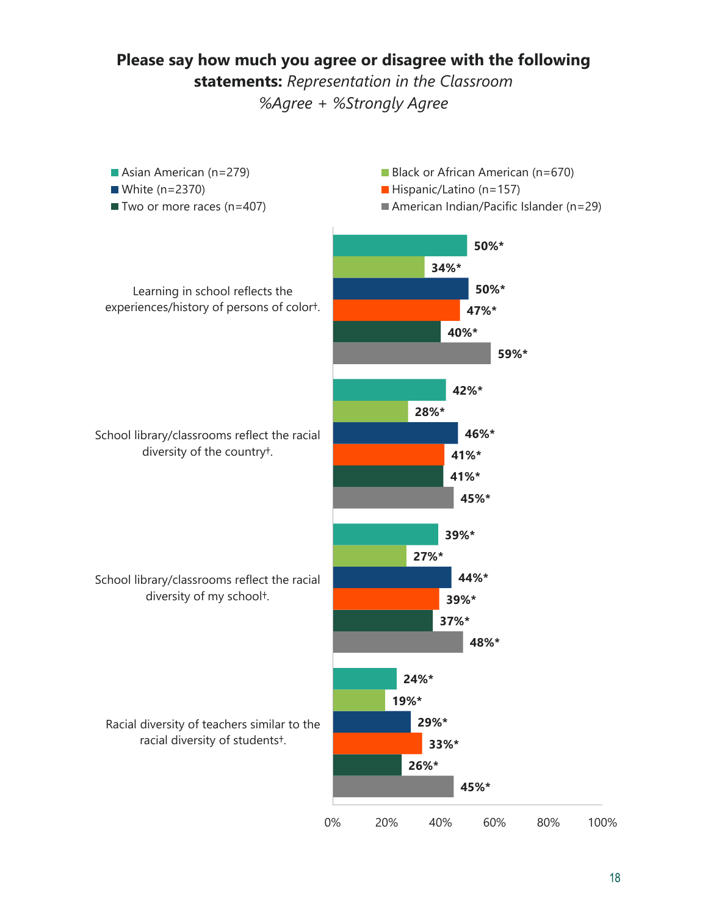#### **Please say how much you agree or disagree with the following statements:** *Representation in the Classroom %Agree + %Strongly Agree*

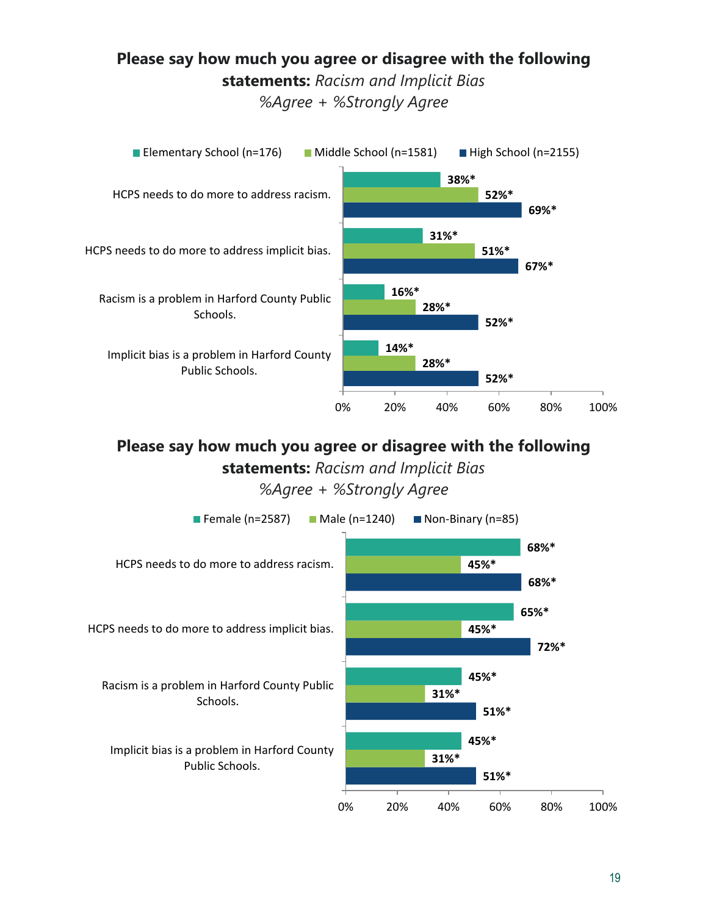#### <span id="page-18-0"></span>**Please say how much you agree or disagree with the following statements:** *Racism and Implicit Bias %Agree + %Strongly Agree*



### **Please say how much you agree or disagree with the following statements:** *Racism and Implicit Bias*

*%Agree + %Strongly Agree*

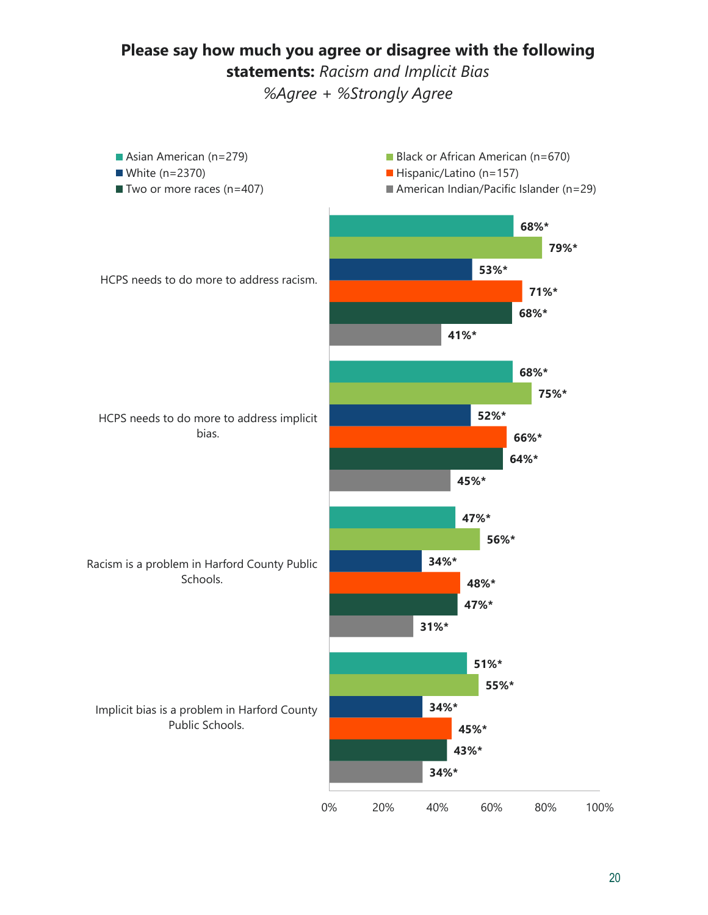#### **Please say how much you agree or disagree with the following statements:** *Racism and Implicit Bias %Agree + %Strongly Agree*

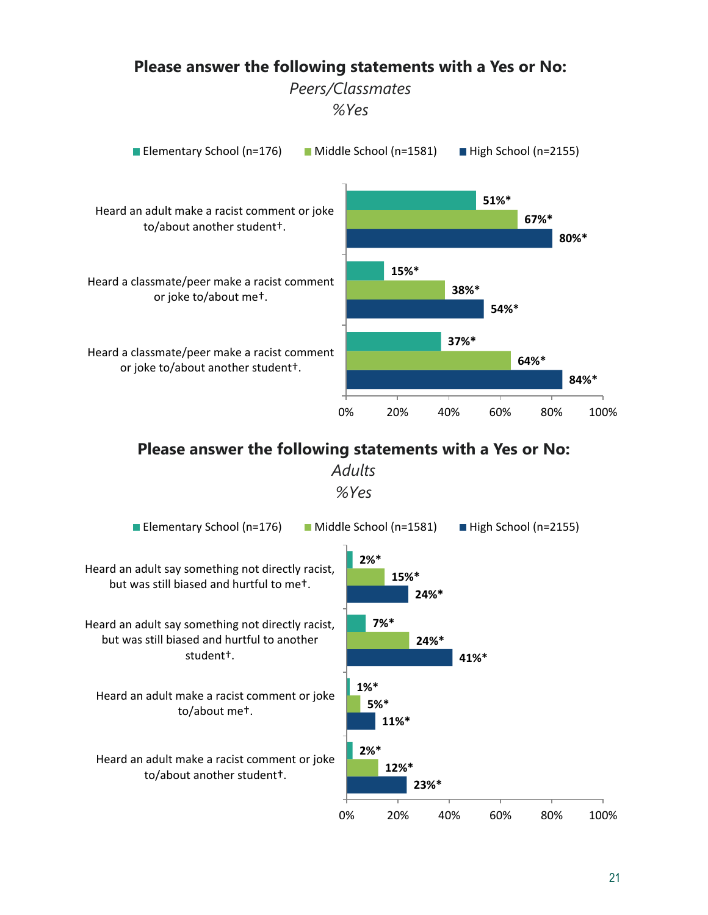#### **Please answer the following statements with a Yes or No:**  *Peers/Classmates*

*%Yes*

<span id="page-20-0"></span>

#### **Please answer the following statements with a Yes or No:**

*Adults %Yes*

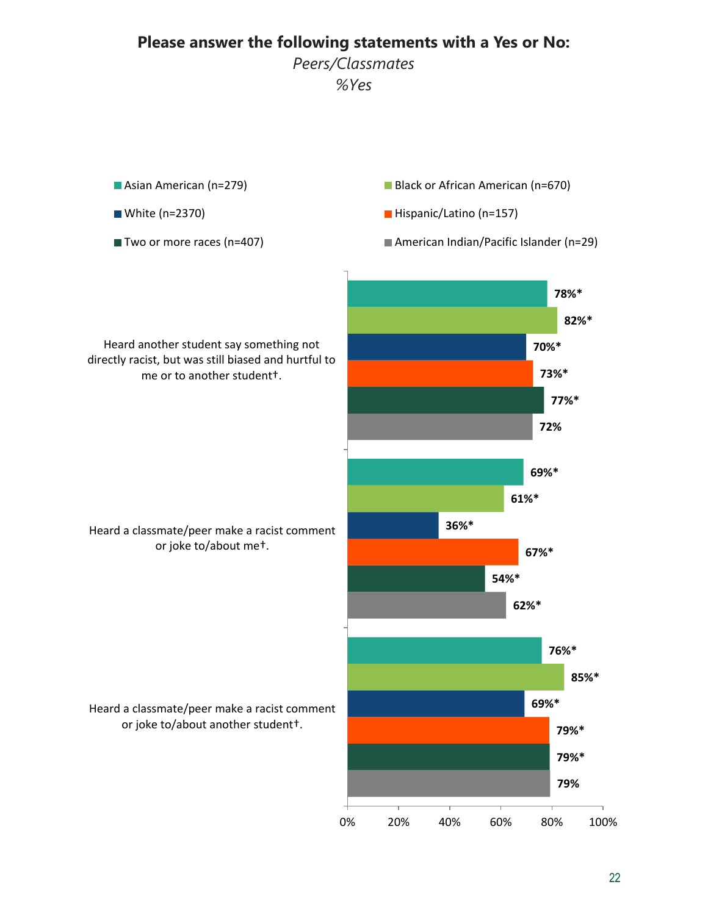# **Please answer the following statements with a Yes or No:**  *Peers/Classmates %Yes*



0% 20% 40% 60% 80% 100%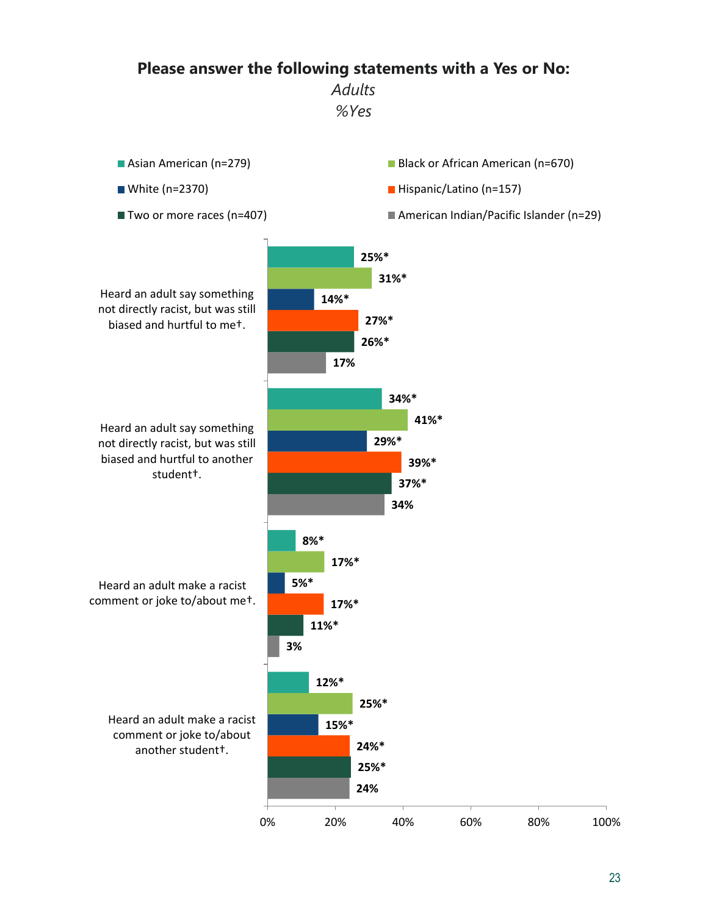#### **Please answer the following statements with a Yes or No:**

*Adults %Yes*

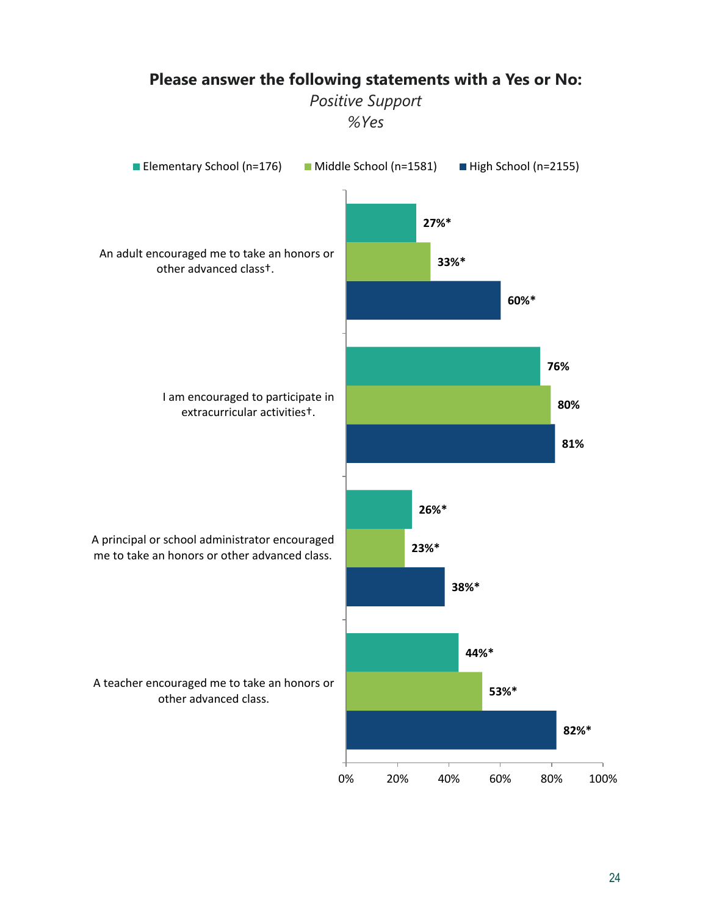<span id="page-23-0"></span>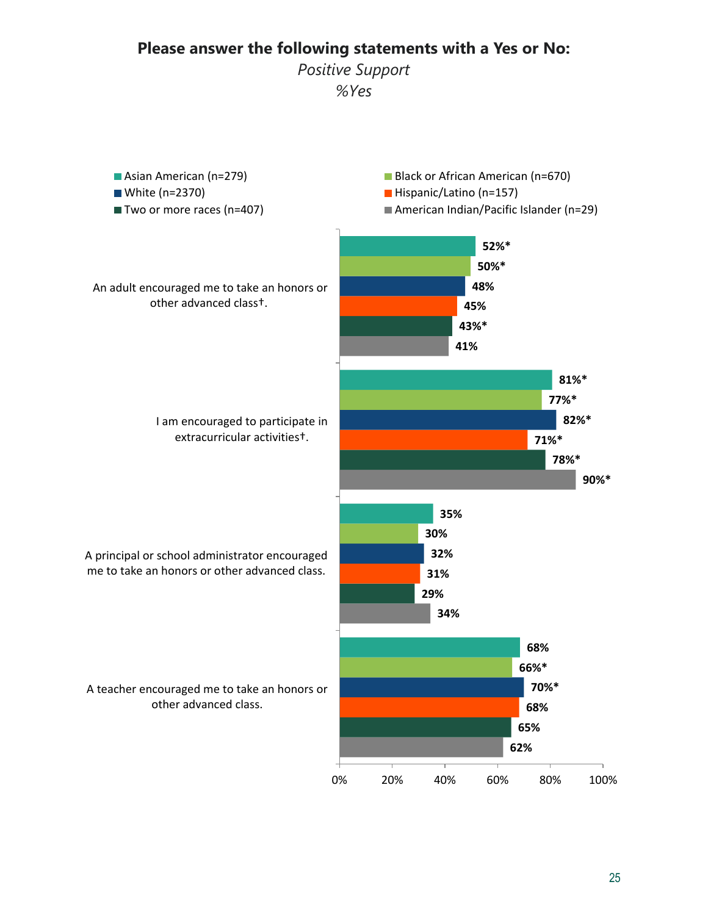#### **Please answer the following statements with a Yes or No:**

*Positive Support*

*%Yes*

![](_page_24_Figure_3.jpeg)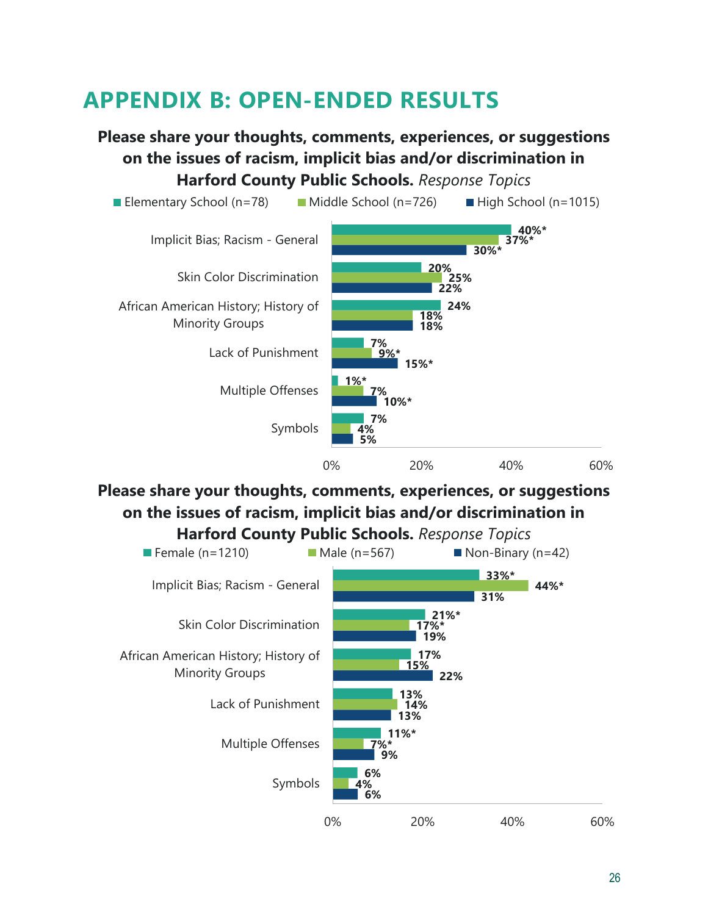## <span id="page-25-0"></span>**APPENDIX B: OPEN-ENDED RESULTS**

**Please share your thoughts, comments, experiences, or suggestions on the issues of racism, implicit bias and/or discrimination in Harford County Public Schools.** *Response Topics*

![](_page_25_Figure_2.jpeg)

#### **Please share your thoughts, comments, experiences, or suggestions on the issues of racism, implicit bias and/or discrimination in Harford County Public Schools.** *Response Topics*

![](_page_25_Figure_4.jpeg)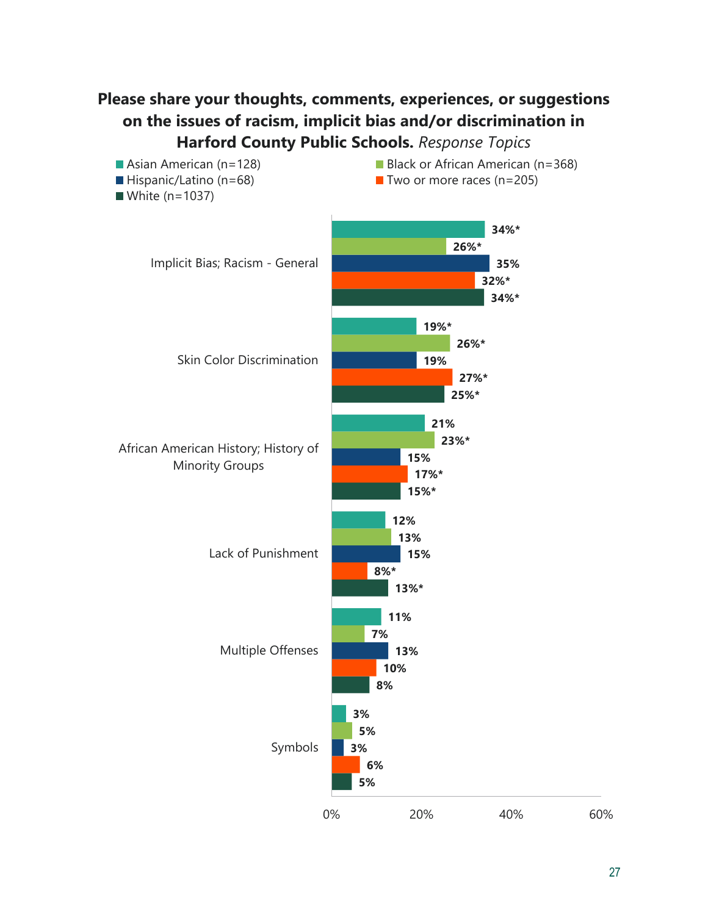#### **Please share your thoughts, comments, experiences, or suggestions on the issues of racism, implicit bias and/or discrimination in Harford County Public Schools.** *Response Topics*

![](_page_26_Figure_1.jpeg)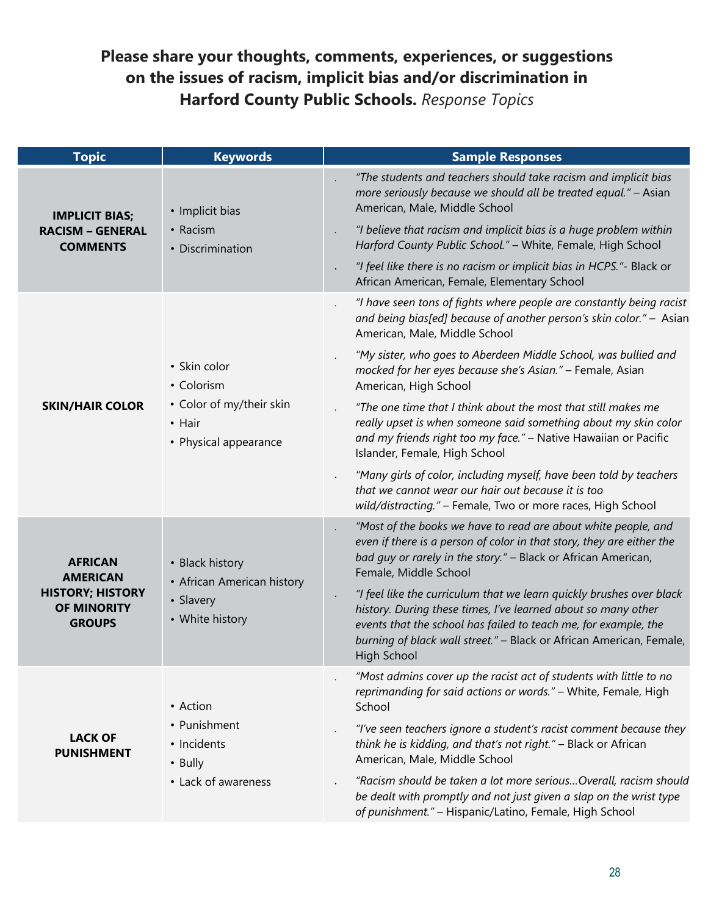## **Please share your thoughts, comments, experiences, or suggestions on the issues of racism, implicit bias and/or discrimination in Harford County Public Schools.** *Response Topics*

| <b>Topic</b>                                                                                        | <b>Keywords</b>                                                                           | <b>Sample Responses</b>                                                                                                                                                                                                                                                                                 |
|-----------------------------------------------------------------------------------------------------|-------------------------------------------------------------------------------------------|---------------------------------------------------------------------------------------------------------------------------------------------------------------------------------------------------------------------------------------------------------------------------------------------------------|
| <b>IMPLICIT BIAS;</b><br><b>RACISM - GENERAL</b><br><b>COMMENTS</b>                                 | • Implicit bias<br>• Racism<br>• Discrimination                                           | "The students and teachers should take racism and implicit bias<br>more seriously because we should all be treated equal." - Asian<br>American, Male, Middle School<br>"I believe that racism and implicit bias is a huge problem within<br>Harford County Public School." - White, Female, High School |
|                                                                                                     |                                                                                           | "I feel like there is no racism or implicit bias in HCPS."- Black or<br>African American, Female, Elementary School                                                                                                                                                                                     |
|                                                                                                     | • Skin color<br>• Colorism<br>• Color of my/their skin<br>• Hair<br>• Physical appearance | "I have seen tons of fights where people are constantly being racist<br>and being bias[ed] because of another person's skin color." - Asian<br>American, Male, Middle School                                                                                                                            |
| <b>SKIN/HAIR COLOR</b>                                                                              |                                                                                           | "My sister, who goes to Aberdeen Middle School, was bullied and<br>mocked for her eyes because she's Asian." - Female, Asian<br>American, High School                                                                                                                                                   |
|                                                                                                     |                                                                                           | "The one time that I think about the most that still makes me<br>really upset is when someone said something about my skin color<br>and my friends right too my face." - Native Hawaiian or Pacific<br>Islander, Female, High School                                                                    |
|                                                                                                     |                                                                                           | "Many girls of color, including myself, have been told by teachers<br>that we cannot wear our hair out because it is too<br>wild/distracting." - Female, Two or more races, High School                                                                                                                 |
| <b>AFRICAN</b><br><b>AMERICAN</b><br><b>HISTORY; HISTORY</b><br><b>OF MINORITY</b><br><b>GROUPS</b> | • Black history<br>• African American history<br>• Slavery<br>• White history             | "Most of the books we have to read are about white people, and<br>even if there is a person of color in that story, they are either the<br>bad guy or rarely in the story." - Black or African American,<br>Female, Middle School                                                                       |
|                                                                                                     |                                                                                           | "I feel like the curriculum that we learn quickly brushes over black<br>history. During these times, I've learned about so many other<br>events that the school has failed to teach me, for example, the<br>burning of black wall street." - Black or African American, Female,<br><b>High School</b>   |
| <b>LACK OF</b><br><b>PUNISHMENT</b>                                                                 | • Action                                                                                  | "Most admins cover up the racist act of students with little to no<br>reprimanding for said actions or words." - White, Female, High<br>School                                                                                                                                                          |
|                                                                                                     | • Punishment<br>• Incidents<br>• Bully                                                    | "I've seen teachers ignore a student's racist comment because they<br>think he is kidding, and that's not right." - Black or African<br>American, Male, Middle School                                                                                                                                   |
|                                                                                                     | • Lack of awareness                                                                       | "Racism should be taken a lot more seriousOverall, racism should<br>be dealt with promptly and not just given a slap on the wrist type<br>of punishment." - Hispanic/Latino, Female, High School                                                                                                        |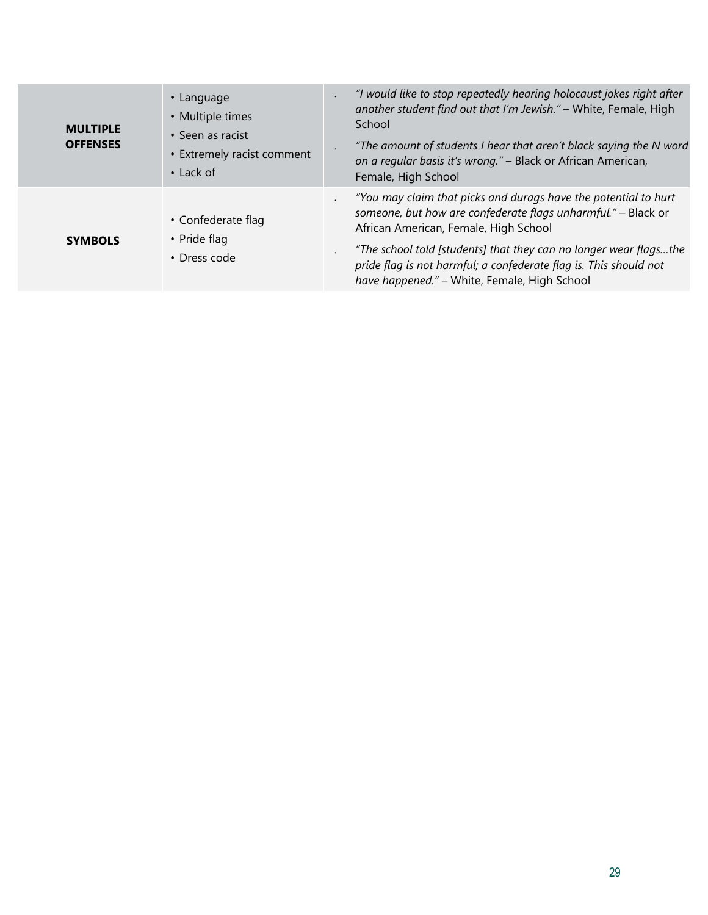| <b>MULTIPLE</b><br><b>OFFENSES</b> | • Language<br>• Multiple times<br>$\cdot$ Seen as racist<br>• Extremely racist comment<br>$\cdot$ Lack of | "I would like to stop repeatedly hearing holocaust jokes right after<br>another student find out that I'm Jewish." - White, Female, High<br>School<br>"The amount of students I hear that aren't black saying the N word<br>on a regular basis it's wrong." - Black or African American,<br>Female, High School                                                     |
|------------------------------------|-----------------------------------------------------------------------------------------------------------|---------------------------------------------------------------------------------------------------------------------------------------------------------------------------------------------------------------------------------------------------------------------------------------------------------------------------------------------------------------------|
| <b>SYMBOLS</b>                     | • Confederate flag<br>• Pride flag<br>• Dress code                                                        | "You may claim that picks and durags have the potential to hurt<br>someone, but how are confederate flags unharmful." - Black or<br>African American, Female, High School<br>"The school told [students] that they can no longer wear flagsthe<br>pride flag is not harmful; a confederate flag is. This should not<br>have happened." - White, Female, High School |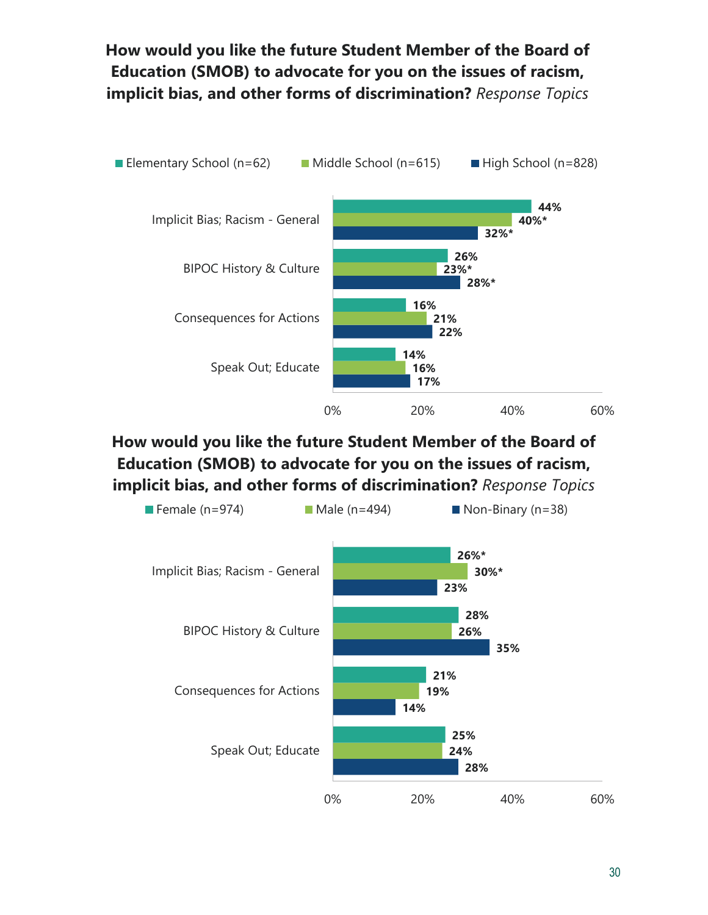#### <span id="page-29-0"></span>**How would you like the future Student Member of the Board of Education (SMOB) to advocate for you on the issues of racism, implicit bias, and other forms of discrimination?** *Response Topics*

![](_page_29_Figure_1.jpeg)

#### **How would you like the future Student Member of the Board of Education (SMOB) to advocate for you on the issues of racism, implicit bias, and other forms of discrimination?** *Response Topics*

![](_page_29_Figure_3.jpeg)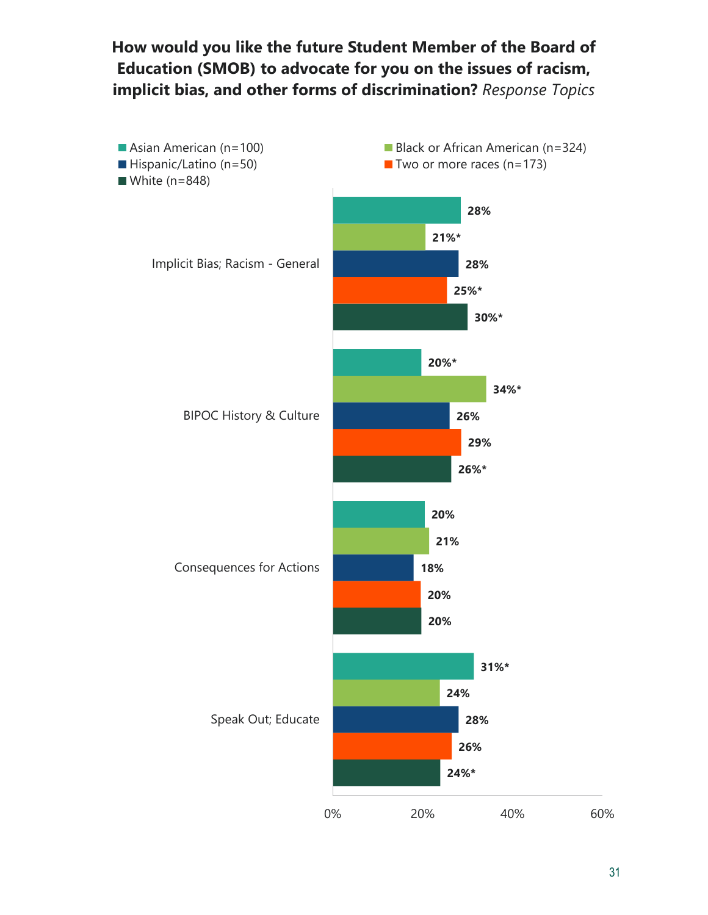#### **How would you like the future Student Member of the Board of Education (SMOB) to advocate for you on the issues of racism, implicit bias, and other forms of discrimination?** *Response Topics*

![](_page_30_Figure_1.jpeg)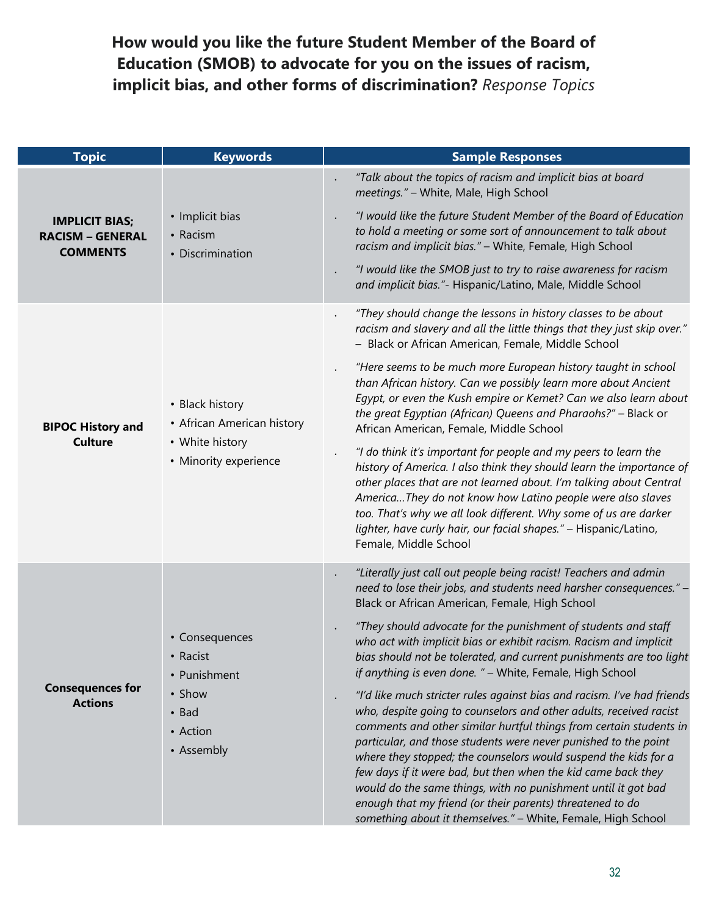**How would you like the future Student Member of the Board of Education (SMOB) to advocate for you on the issues of racism, implicit bias, and other forms of discrimination?** *Response Topics*

| <b>Topic</b>                                                        | <b>Keywords</b>                                                                               | <b>Sample Responses</b>                                                                                                                                                                                                                                                                                                                                                                                                                                                                                                                                                                                                                                                                                                                                                                                                                                                                                                                                                                                                                                                                         |
|---------------------------------------------------------------------|-----------------------------------------------------------------------------------------------|-------------------------------------------------------------------------------------------------------------------------------------------------------------------------------------------------------------------------------------------------------------------------------------------------------------------------------------------------------------------------------------------------------------------------------------------------------------------------------------------------------------------------------------------------------------------------------------------------------------------------------------------------------------------------------------------------------------------------------------------------------------------------------------------------------------------------------------------------------------------------------------------------------------------------------------------------------------------------------------------------------------------------------------------------------------------------------------------------|
| <b>IMPLICIT BIAS;</b><br><b>RACISM - GENERAL</b><br><b>COMMENTS</b> | • Implicit bias<br>• Racism<br>• Discrimination                                               | "Talk about the topics of racism and implicit bias at board<br>meetings." - White, Male, High School<br>"I would like the future Student Member of the Board of Education<br>to hold a meeting or some sort of announcement to talk about<br>racism and implicit bias." - White, Female, High School<br>"I would like the SMOB just to try to raise awareness for racism<br>and implicit bias."- Hispanic/Latino, Male, Middle School                                                                                                                                                                                                                                                                                                                                                                                                                                                                                                                                                                                                                                                           |
| <b>BIPOC History and</b><br><b>Culture</b>                          | • Black history<br>• African American history<br>• White history<br>• Minority experience     | "They should change the lessons in history classes to be about<br>racism and slavery and all the little things that they just skip over."<br>- Black or African American, Female, Middle School<br>"Here seems to be much more European history taught in school<br>than African history. Can we possibly learn more about Ancient<br>Egypt, or even the Kush empire or Kemet? Can we also learn about<br>the great Egyptian (African) Queens and Pharaohs?" - Black or<br>African American, Female, Middle School<br>"I do think it's important for people and my peers to learn the<br>history of America. I also think they should learn the importance of<br>other places that are not learned about. I'm talking about Central<br>AmericaThey do not know how Latino people were also slaves<br>too. That's why we all look different. Why some of us are darker<br>lighter, have curly hair, our facial shapes." - Hispanic/Latino,<br>Female, Middle School                                                                                                                              |
| <b>Consequences for</b><br><b>Actions</b>                           | • Consequences<br>• Racist<br>• Punishment<br>• Show<br>$\cdot$ Bad<br>• Action<br>• Assembly | "Literally just call out people being racist! Teachers and admin<br>need to lose their jobs, and students need harsher consequences." -<br>Black or African American, Female, High School<br>"They should advocate for the punishment of students and staff<br>who act with implicit bias or exhibit racism. Racism and implicit<br>bias should not be tolerated, and current punishments are too light<br>if anything is even done. " - White, Female, High School<br>"I'd like much stricter rules against bias and racism. I've had friends<br>who, despite going to counselors and other adults, received racist<br>comments and other similar hurtful things from certain students in<br>particular, and those students were never punished to the point<br>where they stopped; the counselors would suspend the kids for a<br>few days if it were bad, but then when the kid came back they<br>would do the same things, with no punishment until it got bad<br>enough that my friend (or their parents) threatened to do<br>something about it themselves." - White, Female, High School |